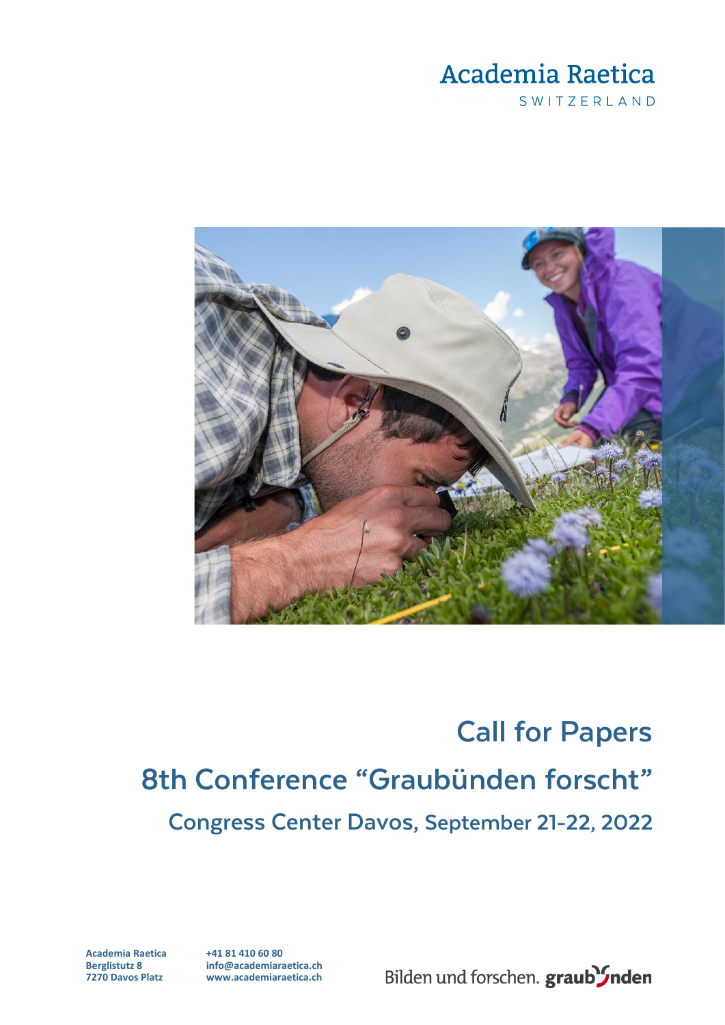## Academia Raetica SWITZERLAND



# **Call for Papers 8th Conference "Graubünden forscht" Congress Center Davos, September 21-22, 2022**

**Academia Raetica Berglistutz 8 7270 Davos Platz**

**+41 81 410 60 80 info@academiaraetica.ch www.academiaraetica.ch**

Bilden und forschen. graub Inden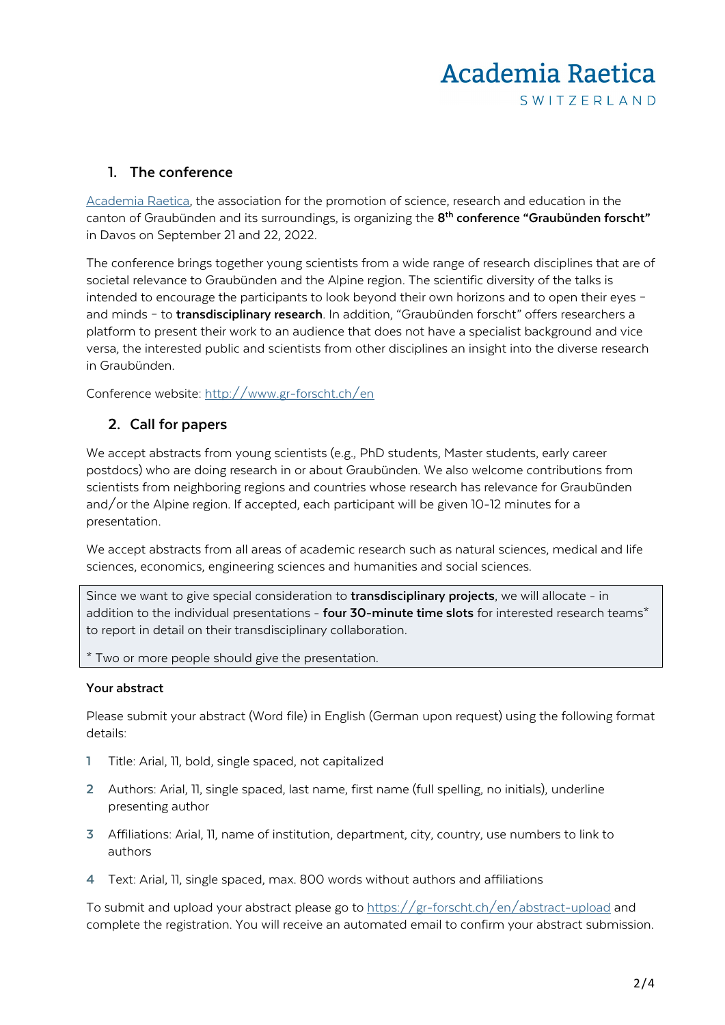# Academia Raetica SWITZFRIAND

## **1. The conference**

[Academia Raetica,](https://academiaraetica.ch/en) the association for the promotion of science, research and education in the canton of Graubünden and its surroundings, is organizing the **8th conference "Graubünden forscht"** in Davos on September 21 and 22, 2022.

The conference brings together young scientists from a wide range of research disciplines that are of societal relevance to Graubünden and the Alpine region. The scientific diversity of the talks is intended to encourage the participants to look beyond their own horizons and to open their eyes – and minds – to **transdisciplinary research**. In addition, "Graubünden forscht" offers researchers a platform to present their work to an audience that does not have a specialist background and vice versa, the interested public and scientists from other disciplines an insight into the diverse research in Graubünden.

Conference website:<http://www.gr-forscht.ch/en>

## **2. Call for papers**

We accept abstracts from young scientists (e.g., PhD students, Master students, early career postdocs) who are doing research in or about Graubünden. We also welcome contributions from scientists from neighboring regions and countries whose research has relevance for Graubünden and/or the Alpine region. If accepted, each participant will be given 10-12 minutes for a presentation.

We accept abstracts from all areas of academic research such as natural sciences, medical and life sciences, economics, engineering sciences and humanities and social sciences.

Since we want to give special consideration to **transdisciplinary projects**, we will allocate - in addition to the individual presentations - **four 30-minute time slots** for interested research teams\* to report in detail on their transdisciplinary collaboration.

\* Two or more people should give the presentation.

#### **Your abstract**

Please submit your abstract (Word file) in English (German upon request) using the following format details:

- **1** Title: Arial, 11, bold, single spaced, not capitalized
- **2** Authors: Arial, 11, single spaced, last name, first name (full spelling, no initials), underline presenting author
- **3** Affiliations: Arial, 11, name of institution, department, city, country, use numbers to link to authors
- **4** Text: Arial, 11, single spaced, max. 800 words without authors and affiliations

To submit and upload your abstract please go to<https://gr-forscht.ch/en/abstract-upload> and complete the registration. You will receive an automated email to confirm your abstract submission.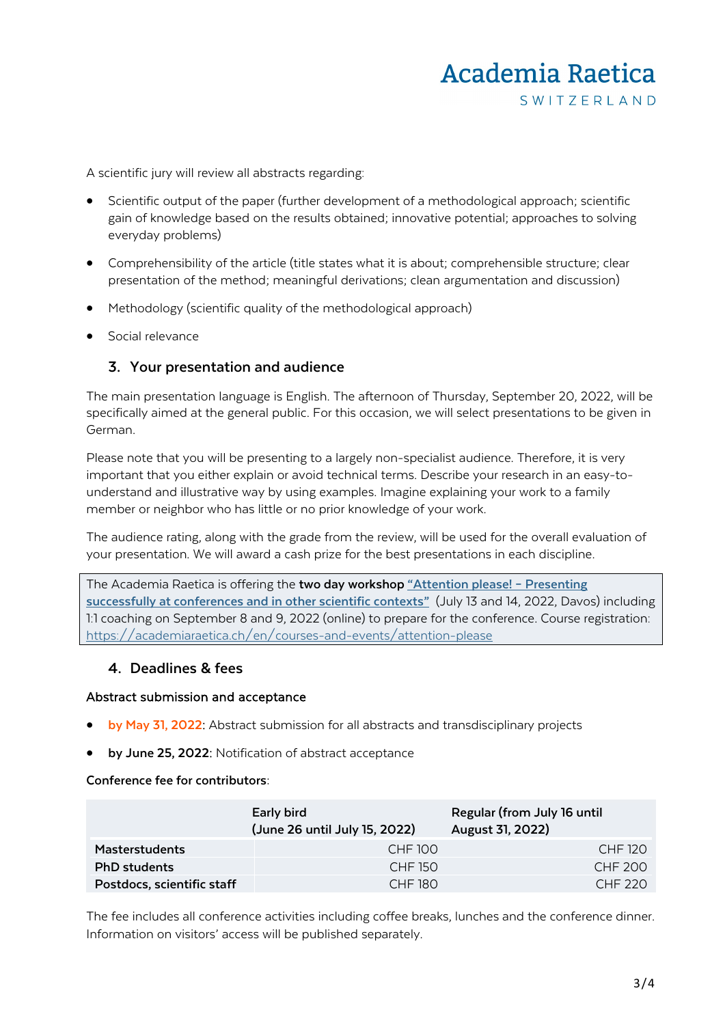# Academia Raetica SWITZFRIAND

A scientific jury will review all abstracts regarding:

- Scientific output of the paper (further development of a methodological approach; scientific gain of knowledge based on the results obtained; innovative potential; approaches to solving everyday problems)
- Comprehensibility of the article (title states what it is about; comprehensible structure; clear presentation of the method; meaningful derivations; clean argumentation and discussion)
- Methodology (scientific quality of the methodological approach)
- Social relevance

#### **3. Your presentation and audience**

The main presentation language is English. The afternoon of Thursday, September 20, 2022, will be specifically aimed at the general public. For this occasion, we will select presentations to be given in German.

Please note that you will be presenting to a largely non-specialist audience. Therefore, it is very important that you either explain or avoid technical terms. Describe your research in an easy-tounderstand and illustrative way by using examples. Imagine explaining your work to a family member or neighbor who has little or no prior knowledge of your work.

The audience rating, along with the grade from the review, will be used for the overall evaluation of your presentation. We will award a cash prize for the best presentations in each discipline.

The Academia Raetica is offering the **two day workshop ["Attention please! – Presenting](https://academiaraetica.ch/en/courses-and-events/attention-please)  [successfully at conferences and in other scientific contexts"](https://academiaraetica.ch/en/courses-and-events/attention-please)** (July 13 and 14, 2022, Davos) including 1:1 coaching on September 8 and 9, 2022 (online) to prepare for the conference. Course registration: <https://academiaraetica.ch/en/courses-and-events/attention-please>

#### **4. Deadlines & fees**

#### Abstract submission and acceptance

- **by May 31, 2022**: Abstract submission for all abstracts and transdisciplinary projects
- **by June 25, 2022**: Notification of abstract acceptance

#### **Conference fee for contributors:**

|                            | Early bird<br>(June 26 until July 15, 2022) | Regular (from July 16 until<br>August 31, 2022) |
|----------------------------|---------------------------------------------|-------------------------------------------------|
| <b>Masterstudents</b>      | <b>CHF 100</b>                              | <b>CHF 120</b>                                  |
| <b>PhD</b> students        | <b>CHF 150</b>                              | <b>CHF 200</b>                                  |
| Postdocs, scientific staff | <b>CHF 180</b>                              | <b>CHF 220</b>                                  |

The fee includes all conference activities including coffee breaks, lunches and the conference dinner. Information on visitors' access will be published separately.